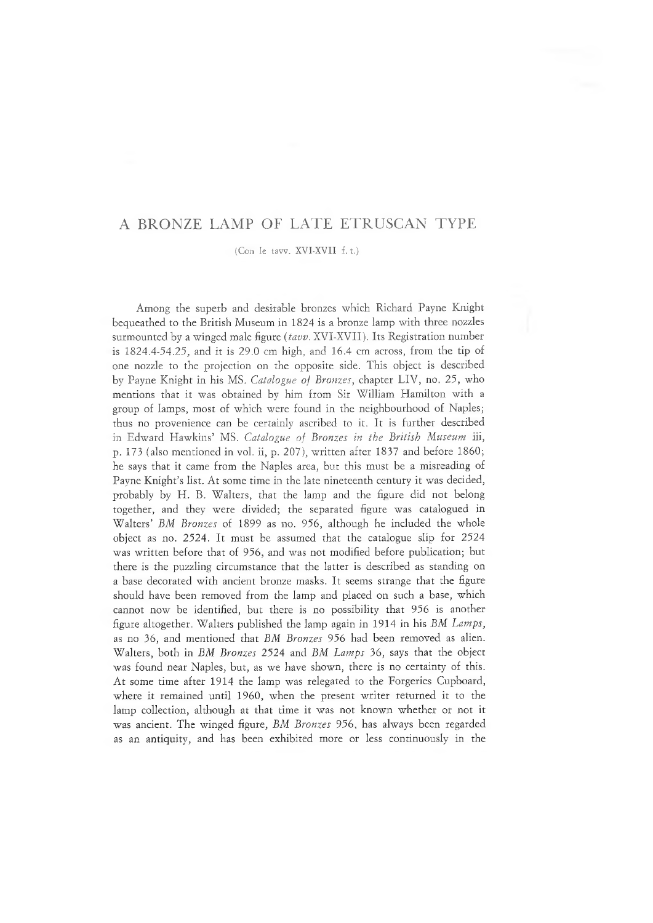## A BRONZE LAMP OF LATE ETRUSCAN TYPE

(Con le tavv. XVI-XVII f. t.)

Among the superb and desirable bronzes which Richard Payne Knight bequeathed to the British Museum in 1824 is a bronze lamp with three nozzles surmounted by a winged male figure *(tavv.* XVI-XVII). Its Registration number is 1824.4-54.25, and it is 29.0 cm high, and 16.4 cm across, from the tip of one nozzle to the projection on the opposite side. This object is described by Payne Knight in his MS. *Catalogue of Bronzes,* chapter LIV, no. 25, who mentions that it was obtained by him from Sir William Hamilton with <sup>a</sup> group of lamps, most of which were found in the neighbourhood of Naples; thus no provenience can be certainly ascribed to it. It is further described in Edward Hawkins' MS. *Catalogue of Bronzes in the British Museum* iii, p. 173 (also mentioned in vol. ii, p. 207), written after 1837 and before 1860; he says that it came from the Naples area, but this must be a misreading of Payne Knight's list. At some time in the late nineteenth century it was decided, probably by H. B. Walters, that the lamp and the figure did not belong together, and they were divided; the separated figure was catalogued in Walters' *BM Bronzes* of 1899 as no. 956, although he included the whole object as no. 2524. It must be assumed that the catalogue slip for 2524 was written before that of 956, and was not modified before publication; but there is the puzzling circumstance that the latter is described as standing on a base decorated with ancient bronze masks. It seems strange that the figure should have been removed from the lamp and placed on such a base, which cannot now be identified, but there is no possibility that 956 is another figure altogether. Walters published the lamp again in 1914 in his *BM Lamps,* as no 36, and mentioned that *BM Bronzes* 956 had been removed as alien. Walters, both in *BM Bronzes* 2524 and *BM Lamps* 36, says that the object was found near Naples, but, as we have shown, there is no certainty of this. At some time after 1914 the lamp was relegated to the Forgeries Cupboard, where it remained until 1960, when the present writer returned it to the lamp collection, although at that time it was not known whether or not it was ancient. The winged figure, *BM Bronzes* 956, has always been regarded as an antiquity, and has been exhibited more or less continuously in the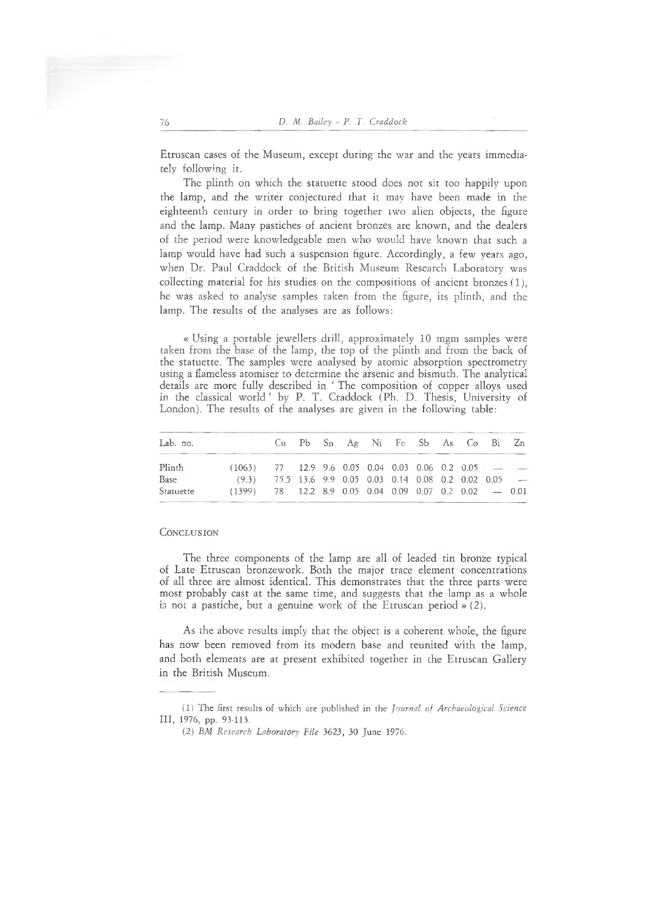Etruscan cases of the Museum, except during the war and the years immediately following it.

The plinth on which the statuette stood does not sit too happily upon the lamp, and the writer conjectured that it may have been made in the eighteenth century in order to bring together two alien objects, the figure and the lamp. Many pastiches of ancient bronzes are known, and the dealers of the period were knowledgeable men who would have known that such <sup>a</sup> lamp would have had such a suspension figure. Accordingly, a few years ago, when Dr. Paul Craddock of the British Museum Research Laboratory was collecting material for his studies on the compositions of ancient bronzes (1), he was asked to analyse samples taken from the figure, its plinth, and the lamp. The results of the analyses are as follows:

« Using a portable jewellers drill, approximately 10 mgm samples were taken from the base of the lamp, the top of the plinth and from the back of the statuette. The samples were analysed by atomic absorption spectrometry using a flameless atomiser to determine the arsenic and bismuth. The analytical details are more fully described in ' The composition of copper alloys used in the classical world ' by P. T. Craddock (Ph. D. Thesis, University of London). The results of the analyses are given in the following table:

| Lab. no.                    |                                                                                                                          |                                                       |  |  | Cu Pb Sn Ag Ni Fe Sb As Co Bi Zn |  |  |  |
|-----------------------------|--------------------------------------------------------------------------------------------------------------------------|-------------------------------------------------------|--|--|----------------------------------|--|--|--|
| Plinth<br>Base<br>Statuette | $(1063)$ 77 12.9 9.6 0.05 0.04 0.03 0.06 0.2 0.05 -<br>(9.3)<br>$(1399)$ 78 12.2 8.9 0.05 0.04 0.09 0.07 0.2 0.02 - 0.01 | $75.5$ 13.6 9.9 0.05 0.03 0.14 0.08 0.2 0.02 0.05 $-$ |  |  |                                  |  |  |  |

## CONCLUSION

The three components of the lamp are all of leaded tin bronze typical of Late Etruscan bronzework. Both the major trace element concentrations of all three are almost identical. This demonstrates that the three parts were most probably cast at the same time, and suggests that the lamp as a whole is not a pastiche, but a genuine work of the Etruscan period » (2).

As the above results imply that the object is a coherent whole, the figure has now been removed from its modern base and reunited with the lamp, and both elements are at present exhibited together in the Etruscan Gallery in the British Museum.

<sup>(11</sup> The first results of which are published in the *Journal of Archaeological Science* III, 1976, pp. 93-113.

<sup>(2)</sup> *BM Research Laboratory File* 3623, 30 June 1976.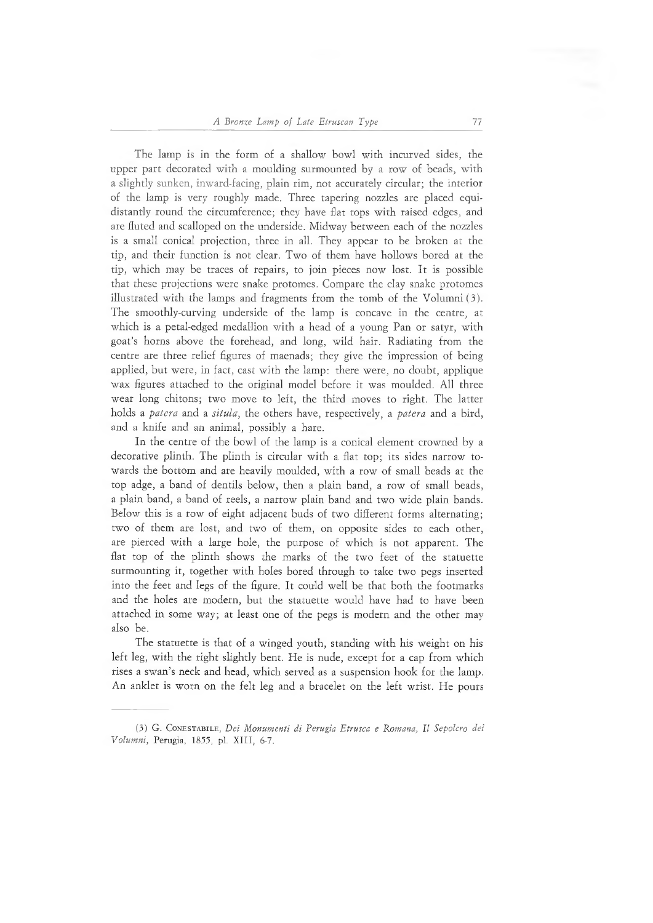The lamp is in the form of a shallow bowl with incurved sides, the upper part decorated with a moulding surmounted by a row of beads, with a slightly sunken, inward-facing, plain rim, not accurately circular; the interior of the lamp is very roughly made. Three tapering nozzles are placed equidistantly round the circumference; they have flat tops with raised edges, and are fluted and scalloped on the underside. Midway between each of the nozzles is a small conical projection, three in all. They appear to be broken at the tip, and their function is not clear. Two of them have hollows bored at the tip, which may be traces of repairs, to join pieces now lost. It is possible that these projections were snake protomes. Compare the clay snake protomes illustrated with the lamps and fragments from the tomb of the Volumni(3). The smoothly-curving underside of the lamp is concave in the centre, at which is a petal-edged medallion with a head of a young Pan or satyr, with goat's horns above the forehead, and long, wild hair. Radiating from the centre are three relief figures of maenads; they give the impression of being applied, but were, in fact, cast with the lamp: there were, no doubt, applique wax figures attached to the original model before it was moulded. All three wear long chitons; two move to left, the third moves to right. The latter holds a *patera* and a *situla,* the others have, respectively, a *patera* and a bird, and a knife and an animal, possibly a hare.

In the centre of the bowl of the lamp is a conical element crowned by a decorative plinth. The plinth is circular with a flat top; its sides narrow towards the bottom and are heavily moulded, with a row of small beads at the top adge, a band of dentils below, then a plain band, a row of small beads, a plain band, a band of reels, a narrow plain band and two wide plain bands. Below this is a row of eight adjacent buds of two different forms alternating; two of them are lost, and two of them, on opposite sides to each other, are pierced with a large hole, the purpose of which is not apparent. The flat top of the plinth shows the marks of the two feet of the statuette surmounting it, together with holes bored through to take two pegs inserted into the feet and legs of the figure. It could well be that both the footmarks and the holes are modern, but the statuette would have had to have been attached in some way; at least one of the pegs is modern and the other may also be.

The statuette is that of a winged youth, standing with his weight on his left leg, with the right slightly bent. He is nude, except for a cap from which rises a swan's neck and head, which served as a suspension hook for the lamp. An anklet is worn on the felt leg and a bracelet on the left wrist. He pours

<sup>(3)</sup> G. Co n e st a b il e , *Dei Monumenti di Perugia Etrusca e Romana, Il Sepolcro dei Volumni,* Perugia, 1855, pl. XIII, 6-7.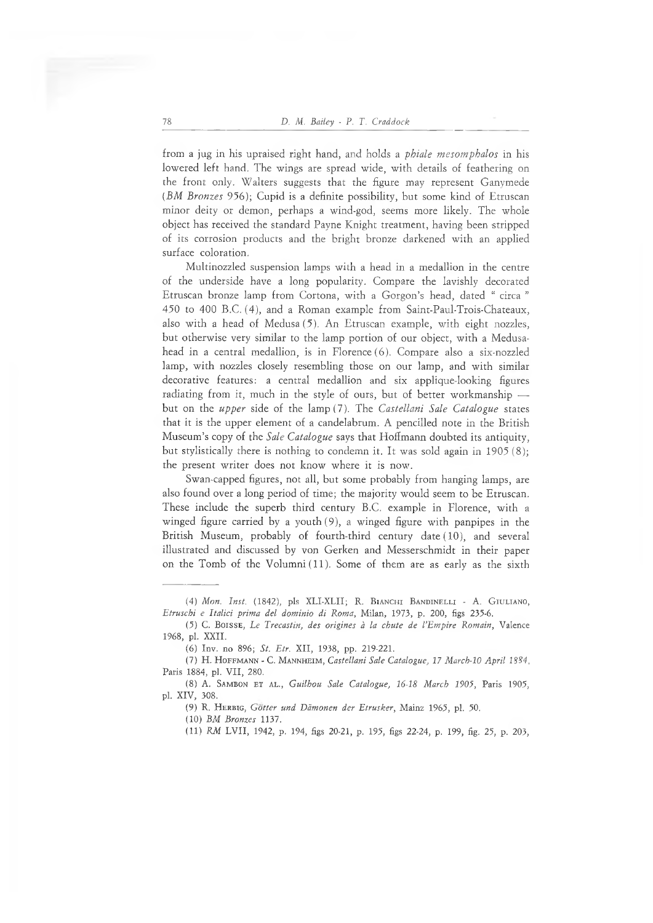from a jug in his upraised right hand, and holds a *phiale mesomphalos* in his lowered left hand. The wings are spread wide, with details of feathering on the front only. Walters suggests that the figure may represent Ganymede *(BM Bronzes* 956); Cupid is a definite possibility, but some kind of Etruscan minor deity or demon, perhaps a wind-god, seems more likely. The whole object has received the standard Payne Knight treatment, having been stripped of its corrosion products and the bright bronze darkened with an applied surface coloration.

Multinozzled suspension lamps with a head in a medallion in the centre of the underside have a long popularity. Compare the lavishly decorated Etruscan bronze lamp from Cortona, with a Gorgon's head, dated " circa " 450 to 400 B.C. (4), and a Roman example from Saint-Paul-Trois-Chateaux, also with a head of Medusa (5). An Etruscan example, with eight nozzles, but otherwise very similar to the lamp portion of our object, with a Medusahead in a central medallion, is in Florence (6). Compare also a six-nozzled lamp, with nozzles closely resembling those on our lamp, and with similar decorative features: a central medallion and six applique-looking figures radiating from it, much in the style of ours, but of better workmanship  $$ but on the *upper* side of the lamp (7). The *Castellani Sale Catalogue* states that it is the upper element of a candelabrum. A pencilled note in the British Museum's copy of the *Sale Catalogue* says that Hoffmann doubted its antiquity, but stylistically there is nothing to condemn it. It was sold again in 1905 (8); the present writer does not know where it is now.

Swan-capped figures, not all, but some probably from hanging lamps, are also found over a long period of time; the majority would seem to be Etruscan. These include the superb third century B.C. example in Florence, with a winged figure carried by a youth (9), a winged figure with panpipes in the British Museum, probably of fourth-third century date (10), and several illustrated and discussed by von Gerken and Messerschmidt in their paper on the Tomb of the Volumni(ll). Some of them are as early as the sixth

<sup>(4)</sup> Mon. Inst. (1842), pls XLI-XLII; R. BIANCHI BANDINELLI - A. GIULIANO, *Etruschi e Italici prima del dominio di Roma,* Milan, 1973, p. 200, figs 235-6.

<sup>(5)</sup> C. Bo isse , *Le Trecastin, des origines à la chute de l'Ernpire Romain,* Valence 1968, pl. XXII.

<sup>(6)</sup> Inv. no 896; *St. Etr.* XII, 1938, pp. 219-221.

<sup>(7)</sup> H. Ho ff ma n n - C. Ma n n h eim, *Castellani Sale Catalogue, 17 March-10 April 1884,* Paris 1884, pl. VII, 280.

<sup>(8)</sup> A. SAMBON ET AL., *Guilhou Sale Catalogue, 16-18 March 1905*, Paris 1905, pl. XIV, 308.

<sup>(9)</sup> R. Her big , *Gotter und Dämonen der Etrusker,* Mainz 1965, pl. 50.

<sup>(10)</sup> *BM Bronzes* 1137.

<sup>(11)</sup> *RM* LVII, 1942, p. 194, figs 20-21, p. 195, figs 22-24, p. 199, fig. 25, p. 203,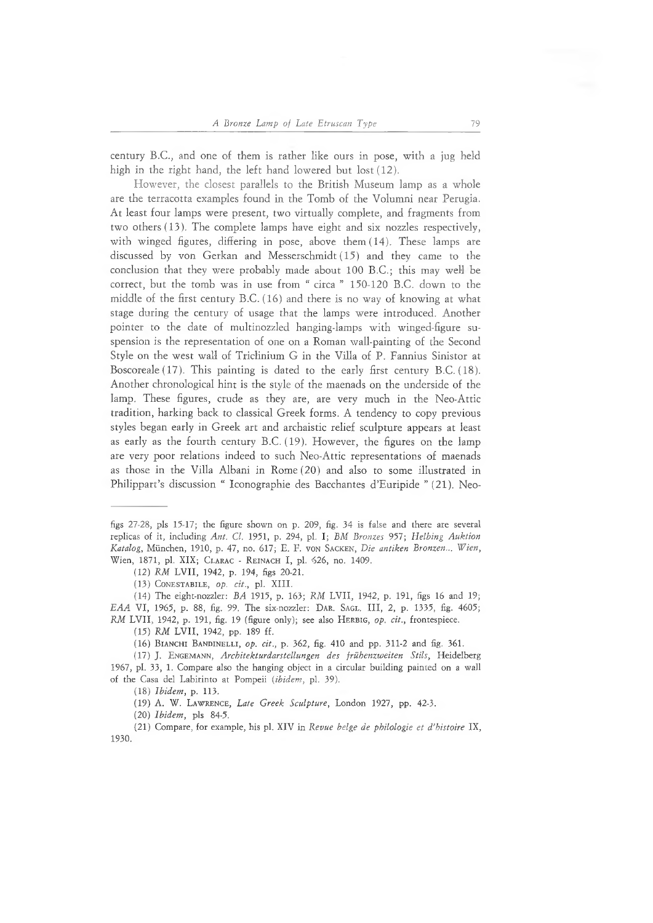century B.C., and one of them is rather like ours in pose, with a jug held high in the right hand, the left hand lowered but lost (12).

However, the closest parallels to the British Museum lamp as a whole are the terracotta examples found in the Tomb of the Volumni near Perugia. At least four lamps were present, two virtually complete, and fragments from two others (13). The complete lamps have eight and six nozzles respectively, with winged figures, differing in pose, above them (14). These lamps are discussed by von Gerkan and Messerschmidt (15) and they came to the conclusion that they were probably made about 100 B.C.; this may well be correct, but the tomb was in use from " circa " 150-120 B.C. down to the middle of the first century B.C. (16) and there is no way of knowing at what stage during the century of usage that the lamps were introduced. Another pointer to the date of multinozzled hanging-lamps with winged-figure suspension is the representation of one on a Roman wall-painting of the Second Style on the west wall of Triclinium G in the Villa of P. Fannius Sinistor at Boscoreale (17). This painting is dated to the early first century B.C. (18). Another chronological hint is the style of the maenads on the underside of the lamp. These figures, crude as they are, are very much in the Neo-Attic tradition, harking back to classical Greek forms. A tendency to copy previous styles began early in Greek art and archaistic relief sculpture appears at least as early as the fourth century B.C. (19). However, the figures on the lamp are very poor relations indeed to such Neo-Attic representations of maenads as those in the Villa Albani in Rome (20) and also to some illustrated in Philippart's discussion " Iconographie des Bacchantes d'Euripide " (21). Neo-

(15) *RM* LVII, 1942, pp. 189 ff.

(18) *Ibidem,* p. 113.

(19) A. W. LAWRENCE, Late Greek Sculpture, London 1927, pp. 42-3.

figs 27-28, pls 15-17; the figure shown on p. 209, fig. 34 is false and there are several replicas of it, including *Ant. Cl.* 1951, p. 294, pl. I; BAf *Bronzes* 957; *Helbing Auktion Katalog,* München, 1910, p. 47, no. 617; E. F. von Sa cken , *Oie antiken Bronzen... Wien,* Wien, 1871, pl. XIX; CLARAC - REINACH I, pl. 626, no. 1409.

<sup>(12)</sup> *RM* LVII, 1942, p. 194, figs 20-21.

 $(13)$  CONESTABILE,  $op.$   $cit.,$  pl. XIII.

<sup>(14)</sup> The eight-nozzler: *BA* 1915, p. 163; *RM* LVII, 1942, p. 191, figs 16 and 19; *EAA* VI, 1965, p. 88, fig. 99. The six-nozzler: DAR. SAGL. III, 2, p. 1335, fig. 4605; *RM* LVII, 1942, p. 191, fig. 19 (figure only); see also HERBIG, op. cit., frontespiece.

<sup>(16)</sup> BIANCHI BANDINELLI, *op. cit.*, p. 362, fig. 410 and pp. 311-2 and fig. 361.

<sup>(17)</sup> J. Engema nn , *Architekturdarstellungen des frühenzweiten Stils,* Heidelberg 1967, pl. 33, 1. Compare also the hanging object in a circular building painted on a wall of the Casa del Labirinto at Pompeii *(ibidem,* pl. 39).

<sup>(20)</sup> *Ibidem,* pls 84-5.

<sup>(21)</sup> Compare, for example, his pl. XIV in *Revue belge de philologie et d'histoire* IX, 1930.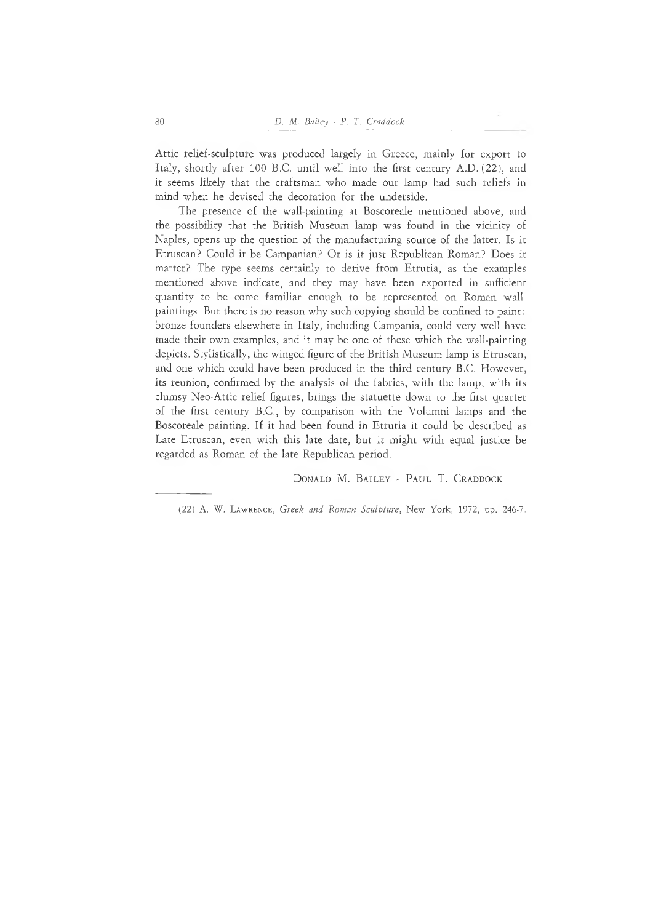Attic relief-sculpture was produced largely in Greece, mainly for export to Italy, shortly after 100 B.C. until well into the first century A.D. (22), and it seems likely that the craftsman who made our lamp had such reliefs in mind when he devised the decoration for the underside.

The presence of the wall-painting at Boscoreale mentioned above, and the possibility that the British Museum lamp was found in the vicinity of Naples, opens up the question of the manufacturing source of the latter. Is it Etruscan? Could it be Campanian? Or is it just Republican Roman? Does it matter? The type seems certainly to derive from Etruria, as the examples mentioned above indicate, and they may have been exported in sufficient quantity to be come familiar enough to be represented on Roman wallpaintings. But there is no reason why such copying should be confined to paint: bronze founders elsewhere in Italy, including Campania, could very well have made their own examples, and it may be one of these which the wall-painting depicts. Stylistically, the winged figure of the British Museum lamp is Etruscan, and one which could have been produced in the third century B.C. However, its reunion, confirmed by the analysis of the fabrics, with the lamp, with its clumsy Neo-Attic relief figures, brings the statuette down to the first quarter of the first century B.C., by comparison with the Volumni lamps and the Boscoreale painting. If it had been found in Etruria it could be described as Late Etruscan, even with this late date, but it might with equal justice be regarded as Roman of the late Republican period.

## DONALD M. BAILEY - PAUL T. CRADDOCK

(22) A. W. Lawrence, Greek and Roman Sculpture, New York, 1972, pp. 246-7.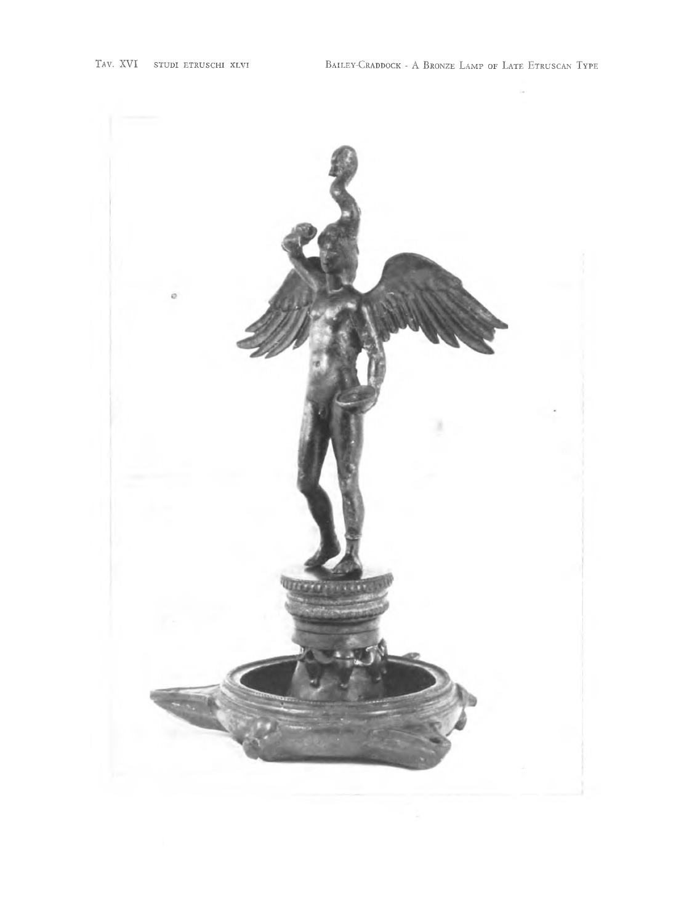